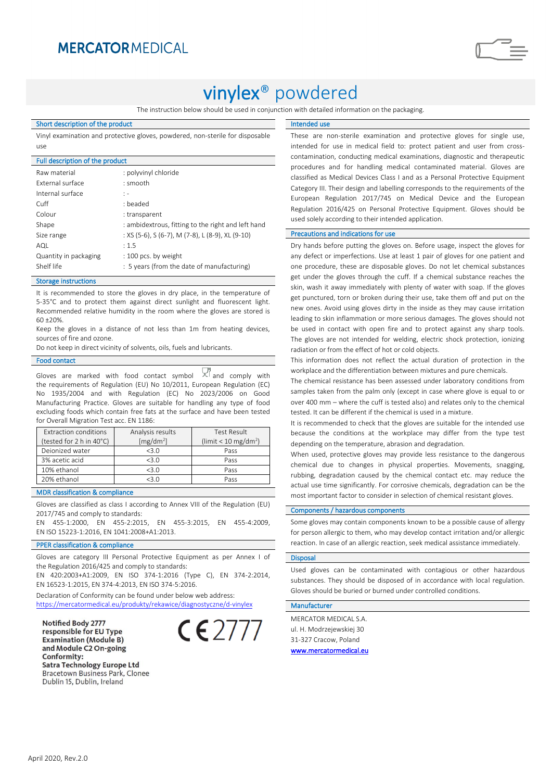### **MERCATOR MEDICAL**

# vinylex® powdered

The instruction below should be used in conjunction with detailed information on the packaging.

#### Short description of the product

Vinyl examination and protective gloves, powdered, non-sterile for disposable use

| Full description of the product                    |  |  |
|----------------------------------------------------|--|--|
| : polyvinyl chloride                               |  |  |
| : smooth                                           |  |  |
| $\mathbf{1}$ –                                     |  |  |
| : beaded                                           |  |  |
| : transparent                                      |  |  |
| : ambidextrous, fitting to the right and left hand |  |  |
| : XS (5-6), S (6-7), M (7-8), L (8-9), XL (9-10)   |  |  |
| : 1.5                                              |  |  |
| : 100 pcs. by weight                               |  |  |
| : 5 years (from the date of manufacturing)         |  |  |
|                                                    |  |  |

#### Storage instructions

It is recommended to store the gloves in dry place, in the temperature of 5-35°C and to protect them against direct sunlight and fluorescent light. Recommended relative humidity in the room where the gloves are stored is 60 ±20%.

Keep the gloves in a distance of not less than 1m from heating devices, sources of fire and ozone.

Do not keep in direct vicinity of solvents, oils, fuels and lubricants.

#### Food contact

Gloves are marked with food contact symbol  $X^{f}$  and comply with the requirements of Regulation (EU) No 10/2011, European Regulation (EC) No 1935/2004 and with Regulation (EC) No 2023/2006 on Good Manufacturing Practice. Gloves are suitable for handling any type of food excluding foods which contain free fats at the surface and have been tested for Overall Migration Test acc. EN 1186:

| Analysis results      | <b>Test Result</b>                    |
|-----------------------|---------------------------------------|
| [mg/dm <sup>2</sup> ] | ( $\lim$ it < 10 mg/dm <sup>2</sup> ) |
| $<$ 3 $\Omega$        | Pass                                  |
| < 3.0                 | Pass                                  |
| < 3.0                 | Pass                                  |
| <3 ∩                  | Pass                                  |
|                       |                                       |

#### MDR classification & compliance

Gloves are classified as class I according to Annex VIII of the Regulation (EU) 2017/745 and comply to standards:

EN 455-1:2000, EN 455-2:2015, EN 455-3:2015, EN 455-4:2009, EN ISO 15223-1:2016, EN 1041:2008+A1:2013.

#### PPER classification & compliance

Gloves are category III Personal Protective Equipment as per Annex I of the Regulation 2016/425 and comply to standards:

EN 420:2003+A1:2009, EN ISO 374-1:2016 (Type C), EN 374-2:2014, EN 16523-1:2015, EN 374-4:2013, EN ISO 374-5:2016.

Declaration of Conformity can be found under below web address: <https://mercatormedical.eu/produkty/rekawice/diagnostyczne/d-vinylex>

Notified Body 2777 responsible for EU Type **Examination (Module B)** and Module C2 On-going Conformity: **Satra Technology Europe Ltd Bracetown Business Park, Clonee** Dublin 15, Dublin, Ireland



#### Intended use

These are non-sterile examination and protective gloves for single use, intended for use in medical field to: protect patient and user from crosscontamination, conducting medical examinations, diagnostic and therapeutic procedures and for handling medical contaminated material. Gloves are classified as Medical Devices Class I and as a Personal Protective Equipment Category III. Their design and labelling corresponds to the requirements of the European Regulation 2017/745 on Medical Device and the European Regulation 2016/425 on Personal Protective Equipment. Gloves should be used solely according to their intended application.

#### Precautions and indications for use

Dry hands before putting the gloves on. Before usage, inspect the gloves for any defect or imperfections. Use at least 1 pair of gloves for one patient and one procedure, these are disposable gloves. Do not let chemical substances get under the gloves through the cuff. If a chemical substance reaches the skin, wash it away immediately with plenty of water with soap. If the gloves get punctured, torn or broken during their use, take them off and put on the new ones. Avoid using gloves dirty in the inside as they may cause irritation leading to skin inflammation or more serious damages. The gloves should not be used in contact with open fire and to protect against any sharp tools. The gloves are not intended for welding, electric shock protection, ionizing radiation or from the effect of hot or cold objects.

This information does not reflect the actual duration of protection in the workplace and the differentiation between mixtures and pure chemicals.

The chemical resistance has been assessed under laboratory conditions from samples taken from the palm only (except in case where glove is equal to or over 400 mm – where the cuff is tested also) and relates only to the chemical tested. It can be different if the chemical is used in a mixture.

It is recommended to check that the gloves are suitable for the intended use because the conditions at the workplace may differ from the type test depending on the temperature, abrasion and degradation.

When used, protective gloves may provide less resistance to the dangerous chemical due to changes in physical properties. Movements, snagging, rubbing, degradation caused by the chemical contact etc. may reduce the actual use time significantly. For corrosive chemicals, degradation can be the most important factor to consider in selection of chemical resistant gloves.

#### Components / hazardous components

Some gloves may contain components known to be a possible cause of allergy for person allergic to them, who may develop contact irritation and/or allergic reaction. In case of an allergic reaction, seek medical assistance immediately.

#### **Disposa**

Used gloves can be contaminated with contagious or other hazardous substances. They should be disposed of in accordance with local regulation. Gloves should be buried or burned under controlled conditions.

#### Manufacturer

MERCATOR MEDICAL S.A. ul. H. Modrzejewskiej 30 31-327 Cracow, Poland [www.mercatormedical.eu](http://www.mercatormedical.eu/)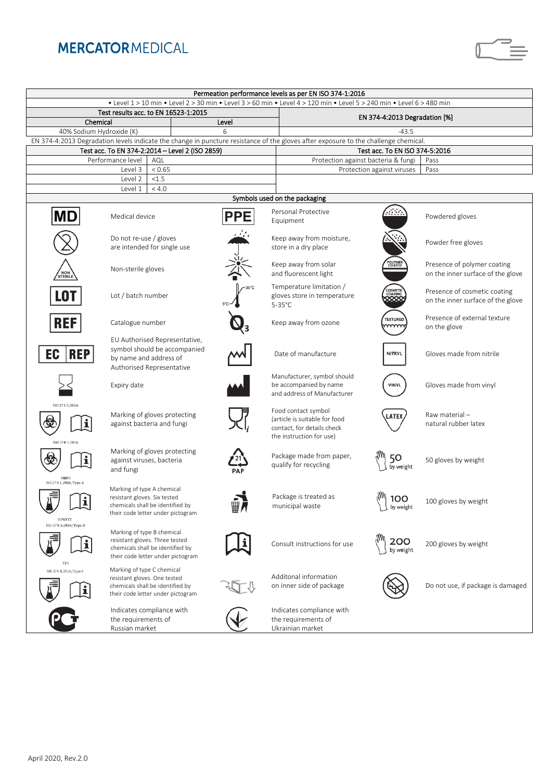### **MERCATOR MEDICAL**